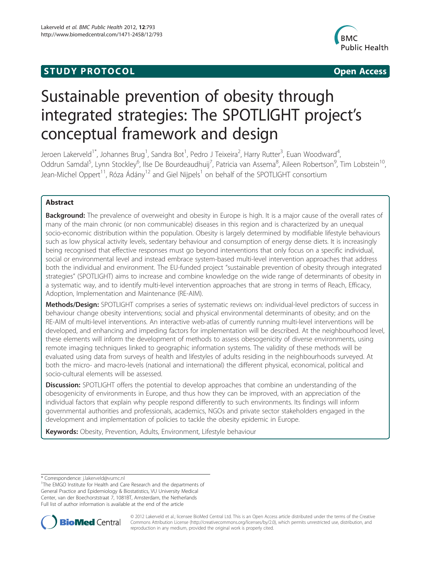# **STUDY PROTOCOL CONSUMING THE RESERVE ACCESS**



# Sustainable prevention of obesity through integrated strategies: The SPOTLIGHT project's conceptual framework and design

Jeroen Lakerveld<sup>1\*</sup>, Johannes Brug<sup>1</sup>, Sandra Bot<sup>1</sup>, Pedro J Teixeira<sup>2</sup>, Harry Rutter<sup>3</sup>, Euan Woodward<sup>4</sup> , Oddrun Samdal<sup>5</sup>, Lynn Stockley<sup>6</sup>, Ilse De Bourdeaudhuij<sup>7</sup>, Patricia van Assema<sup>8</sup>, Aileen Robertson<sup>9</sup>, Tim Lobstein<sup>10</sup>, Jean-Michel Oppert<sup>11</sup>, Róza Ádány<sup>12</sup> and Giel Nijpels<sup>1</sup> on behalf of the SPOTLIGHT consortium

# Abstract

Background: The prevalence of overweight and obesity in Europe is high. It is a major cause of the overall rates of many of the main chronic (or non communicable) diseases in this region and is characterized by an unequal socio-economic distribution within the population. Obesity is largely determined by modifiable lifestyle behaviours such as low physical activity levels, sedentary behaviour and consumption of energy dense diets. It is increasingly being recognised that effective responses must go beyond interventions that only focus on a specific individual, social or environmental level and instead embrace system-based multi-level intervention approaches that address both the individual and environment. The EU-funded project "sustainable prevention of obesity through integrated strategies" (SPOTLIGHT) aims to increase and combine knowledge on the wide range of determinants of obesity in a systematic way, and to identify multi-level intervention approaches that are strong in terms of Reach, Efficacy, Adoption, Implementation and Maintenance (RE-AIM).

Methods/Design: SPOTLIGHT comprises a series of systematic reviews on: individual-level predictors of success in behaviour change obesity interventions; social and physical environmental determinants of obesity; and on the RE-AIM of multi-level interventions. An interactive web-atlas of currently running multi-level interventions will be developed, and enhancing and impeding factors for implementation will be described. At the neighbourhood level, these elements will inform the development of methods to assess obesogenicity of diverse environments, using remote imaging techniques linked to geographic information systems. The validity of these methods will be evaluated using data from surveys of health and lifestyles of adults residing in the neighbourhoods surveyed. At both the micro- and macro-levels (national and international) the different physical, economical, political and socio-cultural elements will be assessed.

**Discussion:** SPOTLIGHT offers the potential to develop approaches that combine an understanding of the obesogenicity of environments in Europe, and thus how they can be improved, with an appreciation of the individual factors that explain why people respond differently to such environments. Its findings will inform governmental authorities and professionals, academics, NGOs and private sector stakeholders engaged in the development and implementation of policies to tackle the obesity epidemic in Europe.

Keywords: Obesity, Prevention, Adults, Environment, Lifestyle behaviour

\* Correspondence: [j.lakerveld@vumc.nl](mailto:j.lakerveld@vumc.nl) <sup>1</sup>

<sup>&</sup>lt;sup>1</sup>The EMGO Institute for Health and Care Research and the departments of General Practice and Epidemiology & Biostatistics, VU University Medical Center, van der Boechorststraat 7, 1081BT, Amsterdam, the Netherlands Full list of author information is available at the end of the article



© 2012 Lakerveld et al.; licensee BioMed Central Ltd. This is an Open Access article distributed under the terms of the Creative Commons Attribution License [\(http://creativecommons.org/licenses/by/2.0\)](http://creativecommons.org/licenses/by/2.0), which permits unrestricted use, distribution, and reproduction in any medium, provided the original work is properly cited.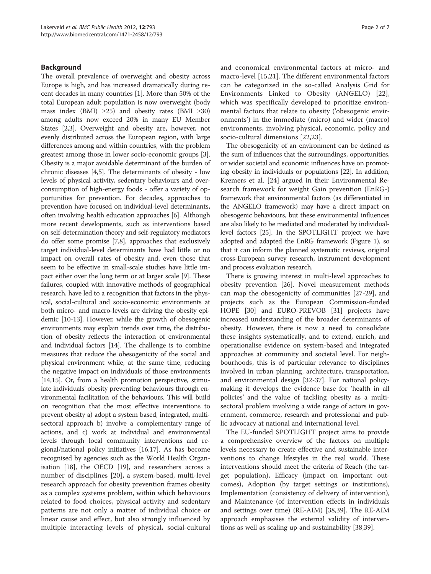## Background

The overall prevalence of overweight and obesity across Europe is high, and has increased dramatically during recent decades in many countries [\[1](#page-5-0)]. More than 50% of the total European adult population is now overweight (body mass index (BMI)  $\geq$ 25) and obesity rates (BMI  $\geq$ 30) among adults now exceed 20% in many EU Member States [[2](#page-5-0),[3](#page-5-0)]. Overweight and obesity are, however, not evenly distributed across the European region, with large differences among and within countries, with the problem greatest among those in lower socio-economic groups [[3](#page-5-0)]. Obesity is a major avoidable determinant of the burden of chronic diseases [\[4,5\]](#page-5-0). The determinants of obesity - low levels of physical activity, sedentary behaviours and overconsumption of high-energy foods - offer a variety of opportunities for prevention. For decades, approaches to prevention have focused on individual-level determinants, often involving health education approaches [\[6\]](#page-5-0). Although more recent developments, such as interventions based on self-determination theory and self-regulatory mediators do offer some promise [\[7,8\]](#page-5-0), approaches that exclusively target individual-level determinants have had little or no impact on overall rates of obesity and, even those that seem to be effective in small-scale studies have little impact either over the long term or at larger scale [[9](#page-5-0)]. These failures, coupled with innovative methods of geographical research, have led to a recognition that factors in the physical, social-cultural and socio-economic environments at both micro- and macro-levels are driving the obesity epidemic [\[10-13\]](#page-5-0). However, while the growth of obesogenic environments may explain trends over time, the distribution of obesity reflects the interaction of environmental and individual factors [\[14\]](#page-5-0). The challenge is to combine measures that reduce the obesogenicity of the social and physical environment while, at the same time, reducing the negative impact on individuals of those environments [[14,15](#page-5-0)]. Or, from a health promotion perspective, stimulate individuals' obesity preventing behaviours through environmental facilitation of the behaviours. This will build on recognition that the most effective interventions to prevent obesity a) adopt a system based, integrated, multisectoral approach b) involve a complementary range of actions, and c) work at individual and environmental levels through local community interventions and regional/national policy initiatives [\[16,17](#page-5-0)]. As has become recognised by agencies such as the World Health Organisation [[18](#page-5-0)], the OECD [\[19\]](#page-5-0), and researchers across a number of disciplines [[20](#page-5-0)], a system-based, multi-level research approach for obesity prevention frames obesity as a complex systems problem, within which behaviours related to food choices, physical activity and sedentary patterns are not only a matter of individual choice or linear cause and effect, but also strongly influenced by multiple interacting levels of physical, social-cultural and economical environmental factors at micro- and macro-level [[15,21\]](#page-5-0). The different environmental factors can be categorized in the so-called Analysis Grid for Environments Linked to Obesity (ANGELO) [\[22](#page-5-0)], which was specifically developed to prioritize environmental factors that relate to obesity ('obesogenic environments') in the immediate (micro) and wider (macro) environments, involving physical, economic, policy and socio-cultural dimensions [[22,23](#page-5-0)].

The obesogenicity of an environment can be defined as the sum of influences that the surroundings, opportunities, or wider societal and economic influences have on promoting obesity in individuals or populations [[22](#page-5-0)]. In addition, Kremers et al. [[24\]](#page-5-0) argued in their Environmental Research framework for weight Gain prevention (EnRG-) framework that environmental factors (as differentiated in the ANGELO framework) may have a direct impact on obesogenic behaviours, but these environmental influences are also likely to be mediated and moderated by individuallevel factors [\[25\]](#page-5-0). In the SPOTLIGHT project we have adopted and adapted the EnRG framework (Figure [1\)](#page-2-0), so that it can inform the planned systematic reviews, original cross-European survey research, instrument development and process evaluation research.

There is growing interest in multi-level approaches to obesity prevention [[26\]](#page-5-0). Novel measurement methods can map the obesogenicity of communities [\[27](#page-5-0)-[29](#page-5-0)], and projects such as the European Commission-funded HOPE [\[30\]](#page-5-0) and EURO-PREVOB [[31](#page-5-0)] projects have increased understanding of the broader determinants of obesity. However, there is now a need to consolidate these insights systematically, and to extend, enrich, and operationalise evidence on system-based and integrated approaches at community and societal level. For neighbourhoods, this is of particular relevance to disciplines involved in urban planning, architecture, transportation, and environmental design [[32-37\]](#page-5-0). For national policymaking it develops the evidence base for 'health in all policies' and the value of tackling obesity as a multisectoral problem involving a wide range of actors in government, commerce, research and professional and public advocacy at national and international level.

The EU-funded SPOTLIGHT project aims to provide a comprehensive overview of the factors on multiple levels necessary to create effective and sustainable interventions to change lifestyles in the real world. These interventions should meet the criteria of Reach (the target population), Efficacy (impact on important outcomes), Adoption (by target settings or institutions), Implementation (consistency of delivery of intervention), and Maintenance (of intervention effects in individuals and settings over time) (RE-AIM) [\[38,39\]](#page-5-0). The RE-AIM approach emphasises the external validity of interventions as well as scaling up and sustainability [[38,39\]](#page-5-0).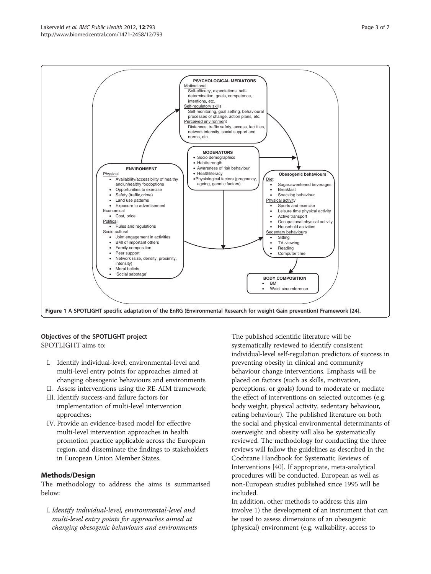Objectives of the SPOTLIGHT project SPOTLIGHT aims to:

- I. Identify individual-level, environmental-level and multi-level entry points for approaches aimed at changing obesogenic behaviours and environments
- II. Assess interventions using the RE-AIM framework;
- III. Identify success-and failure factors for implementation of multi-level intervention approaches;
- IV. Provide an evidence-based model for effective multi-level intervention approaches in health promotion practice applicable across the European region, and disseminate the findings to stakeholders in European Union Member States.

# Methods/Design

The methodology to address the aims is summarised below:

I. Identify individual-level, environmental-level and multi-level entry points for approaches aimed at changing obesogenic behaviours and environments The published scientific literature will be systematically reviewed to identify consistent individual-level self-regulation predictors of success in preventing obesity in clinical and community behaviour change interventions. Emphasis will be placed on factors (such as skills, motivation, perceptions, or goals) found to moderate or mediate the effect of interventions on selected outcomes (e.g. body weight, physical activity, sedentary behaviour, eating behaviour). The published literature on both the social and physical environmental determinants of overweight and obesity will also be systematically reviewed. The methodology for conducting the three reviews will follow the guidelines as described in the Cochrane Handbook for Systematic Reviews of Interventions [[40](#page-5-0)]. If appropriate, meta-analytical procedures will be conducted. European as well as non-European studies published since 1995 will be included.

In addition, other methods to address this aim involve 1) the development of an instrument that can be used to assess dimensions of an obesogenic (physical) environment (e.g. walkability, access to

<span id="page-2-0"></span>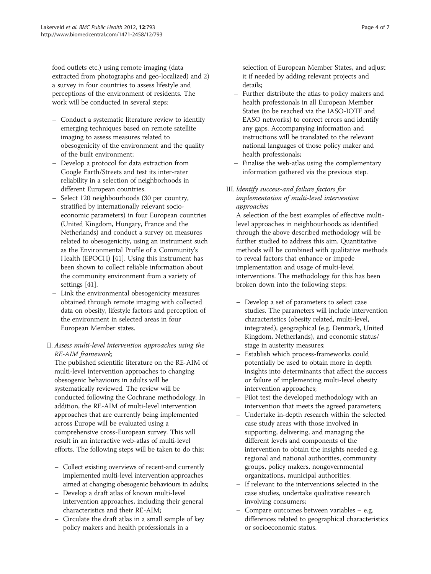food outlets etc.) using remote imaging (data extracted from photographs and geo-localized) and 2) a survey in four countries to assess lifestyle and perceptions of the environment of residents. The work will be conducted in several steps:

- Conduct a systematic literature review to identify emerging techniques based on remote satellite imaging to assess measures related to obesogenicity of the environment and the quality of the built environment;
- Develop a protocol for data extraction from Google Earth/Streets and test its inter-rater reliability in a selection of neighborhoods in different European countries.
- Select 120 neighbourhoods (30 per country, stratified by internationally relevant socioeconomic parameters) in four European countries (United Kingdom, Hungary, France and the Netherlands) and conduct a survey on measures related to obesogenicity, using an instrument such as the Environmental Profile of a Community's Health (EPOCH) [[41](#page-5-0)]. Using this instrument has been shown to collect reliable information about the community environment from a variety of settings [\[41](#page-5-0)].
- Link the environmental obesogenicity measures obtained through remote imaging with collected data on obesity, lifestyle factors and perception of the environment in selected areas in four European Member states.
- II. Assess multi-level intervention approaches using the RE-AIM framework;

The published scientific literature on the RE-AIM of multi-level intervention approaches to changing obesogenic behaviours in adults will be systematically reviewed. The review will be conducted following the Cochrane methodology. In addition, the RE-AIM of multi-level intervention approaches that are currently being implemented across Europe will be evaluated using a comprehensive cross-European survey. This will result in an interactive web-atlas of multi-level efforts. The following steps will be taken to do this:

- Collect existing overviews of recent-and currently implemented multi-level intervention approaches aimed at changing obesogenic behaviours in adults;
- Develop a draft atlas of known multi-level intervention approaches, including their general characteristics and their RE-AIM;
- Circulate the draft atlas in a small sample of key policy makers and health professionals in a

selection of European Member States, and adjust it if needed by adding relevant projects and details;

- Further distribute the atlas to policy makers and health professionals in all European Member States (to be reached via the IASO-IOTF and EASO networks) to correct errors and identify any gaps. Accompanying information and instructions will be translated to the relevant national languages of those policy maker and health professionals;
- Finalise the web-atlas using the complementary information gathered via the previous step.

# III. Identify success-and failure factors for implementation of multi-level intervention approaches

A selection of the best examples of effective multilevel approaches in neighbourhoods as identified through the above described methodology will be further studied to address this aim. Quantitative methods will be combined with qualitative methods to reveal factors that enhance or impede implementation and usage of multi-level interventions. The methodology for this has been broken down into the following steps:

- Develop a set of parameters to select case studies. The parameters will include intervention characteristics (obesity related, multi-level, integrated), geographical (e.g. Denmark, United Kingdom, Netherlands), and economic status/ stage in austerity measures;
- Establish which process-frameworks could potentially be used to obtain more in depth insights into determinants that affect the success or failure of implementing multi-level obesity intervention approaches;
- Pilot test the developed methodology with an intervention that meets the agreed parameters;
- Undertake in-depth research within the selected case study areas with those involved in supporting, delivering, and managing the different levels and components of the intervention to obtain the insights needed e.g. regional and national authorities, community groups, policy makers, nongovernmental organizations, municipal authorities;
- If relevant to the interventions selected in the case studies, undertake qualitative research involving consumers;
- Compare outcomes between variables e.g. differences related to geographical characteristics or socioeconomic status.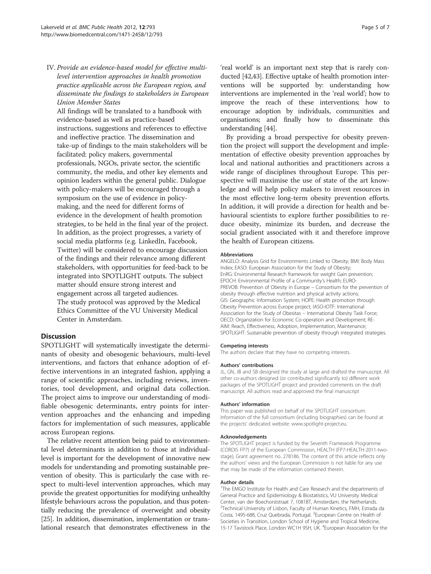IV. Provide an evidence-based model for effective multilevel intervention approaches in health promotion practice applicable across the European region, and disseminate the findings to stakeholders in European Union Member States

All findings will be translated to a handbook with evidence-based as well as practice-based instructions, suggestions and references to effective and ineffective practice. The dissemination and take-up of findings to the main stakeholders will be facilitated: policy makers, governmental professionals, NGOs, private sector, the scientific community, the media, and other key elements and opinion leaders within the general public. Dialogue with policy-makers will be encouraged through a symposium on the use of evidence in policymaking, and the need for different forms of evidence in the development of health promotion strategies, to be held in the final year of the project. In addition, as the project progresses, a variety of social media platforms (e.g. LinkedIn, Facebook, Twitter) will be considered to encourage discussion of the findings and their relevance among different stakeholders, with opportunities for feed-back to be integrated into SPOTLIGHT outputs. The subject matter should ensure strong interest and engagement across all targeted audiences. The study protocol was approved by the Medical Ethics Committee of the VU University Medical Center in Amsterdam.

# **Discussion**

SPOTLIGHT will systematically investigate the determinants of obesity and obesogenic behaviours, multi-level interventions, and factors that enhance adoption of effective interventions in an integrated fashion, applying a range of scientific approaches, including reviews, inventories, tool development, and original data collection. The project aims to improve our understanding of modifiable obesogenic determinants, entry points for intervention approaches and the enhancing and impeding factors for implementation of such measures, applicable across European regions.

The relative recent attention being paid to environmental level determinants in addition to those at individuallevel is important for the development of innovative new models for understanding and promoting sustainable prevention of obesity. This is particularly the case with respect to multi-level intervention approaches, which may provide the greatest opportunities for modifying unhealthy lifestyle behaviours across the population, and thus potentially reducing the prevalence of overweight and obesity [[25](#page-5-0)]. In addition, dissemination, implementation or translational research that demonstrates effectiveness in the

'real world' is an important next step that is rarely conducted [[42,43\]](#page-6-0). Effective uptake of health promotion interventions will be supported by: understanding how interventions are implemented in the 'real world'; how to improve the reach of these interventions; how to encourage adoption by individuals, communities and organisations; and finally how to disseminate this understanding [[44](#page-6-0)].

By providing a broad perspective for obesity prevention the project will support the development and implementation of effective obesity prevention approaches by local and national authorities and practitioners across a wide range of disciplines throughout Europe. This perspective will maximise the use of state of the art knowledge and will help policy makers to invest resources in the most effective long-term obesity prevention efforts. In addition, it will provide a direction for health and behavioural scientists to explore further possibilities to reduce obesity, minimize its burden, and decrease the social gradient associated with it and therefore improve the health of European citizens.

#### Abbreviations

ANGELO: Analysis Grid for Environments Linked to Obesity; BMI: Body Mass Index; EASO: European Association for the Study of Obesity; EnRG: Environmental Research framework for weight Gain prevention; EPOCH: Environmental Profile of a Community's Health; EURO-PREVOB: Prevention of Obesity in Europe – Consortium for the prevention of obesity through effective nutrition and physical activity actions; GIS: Geographic Information System; HOPE: Health promotion through Obesity Prevention across Europe project; IASO-IOTF: International Association for the Study of Obesitas – International Obesity Task Force; OECD: Organization for Economic Co-operation and Development; RE-AIM: Reach, Effectiveness, Adoption, Implementation, Maintenance; SPOTLIGHT: Sustainable prevention of obesity through integrated strategies.

#### Competing interests

The authors declare that they have no competing interests.

#### Authors' contributions

JL, GN, JB and SB designed the study at large and drafted the manuscript. All other co-authors designed (or contributed significantly to) different work packages of the SPOTLIGHT project and provided comments on the draft manuscript. All authors read and approved the final manuscript

#### Authors' information

This paper was published on behalf of the SPOTLIGHT consortium. Information of the full consortium (including biographies) can be found at the projects' dedicated website: www.spotlight-project.eu.

#### Acknowledgements

The SPOTLIGHT project is funded by the Seventh Framework Programme (CORDIS FP7) of the European Commission, HEALTH (FP7-HEALTH-2011-twostage), Grant agreement no. 278186. The content of this article reflects only the authors' views and the European Commission is not liable for any use that may be made of the information contained therein.

#### Author details

<sup>1</sup>The EMGO Institute for Health and Care Research and the departments of General Practice and Epidemiology & Biostatistics, VU University Medical Center, van der Boechorststraat 7, 1081BT, Amsterdam, the Netherlands. <sup>2</sup>Technical University of Lisbon, Faculty of Human Kinetics, FMH, Estrada da Costa, 1495-688, Cruz Quebrada, Portugal. <sup>3</sup>European Centre on Health of Societies in Transition, London School of Hygiene and Tropical Medicine, 15-17 Tavistock Place, London WC1H 9SH, UK. <sup>4</sup>European Association for the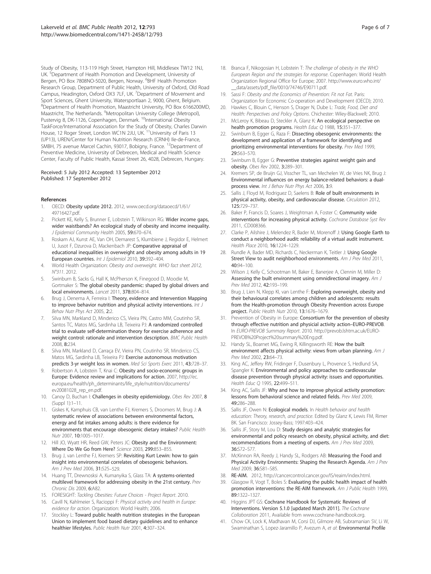<span id="page-5-0"></span>Study of Obesity, 113-119 High Street, Hampton Hill, Middlesex TW12 1NJ, UK. <sup>5</sup>Department of Health Promotion and Development, University of Bergen, PO Box 7808NO-5020, Bergen, Norway. <sup>6</sup>BHF Health Promotion Research Group, Department of Public Health, University of Oxford, Old Road Campus, Headington, Oxford OX3 7LF, UK. <sup>7</sup>Department of Movement and Sport Sciences, Ghent University, Watersportlaan 2, 9000, Ghent, Belgium. 8 Department of Health Promotion, Maastricht University, PO Box 6166200MD, Maastricht, The Netherlands. <sup>9</sup>Metropolitan University College (Metropol), Pustervig 8, DK-1126, Copenhagen, Denmark. <sup>10</sup>International Obesity TaskForce/International Association for the Study of Obesity, Charles Darwin House, 12 Roger Street, London WC1N 2JU, UK.<sup>11</sup>University of Paris 13 (UP13), UREN/Center for Human Nutrition Research (CRNH) Ile-de-France, SMBH, 75 avenue Marcel Cachin, 93017, Bobigny, France. <sup>12</sup>Department of Preventive Medicine, University of Debrecen, Medical and Health Science Center, Faculty of Public Health, Kassai Street 26, 4028, Debrecen, Hungary.

#### Received: 5 July 2012 Accepted: 13 September 2012 Published: 17 September 2012

#### References

- OECD: Obesity update 2012. 2012, [www.oecd.org/dataoecd/1/61/](http://www.oecd.org/dataoecd/1/61/49716427.pdf) [49716427.pdf.](http://www.oecd.org/dataoecd/1/61/49716427.pdf)
- Pickett KE, Kelly S, Brunner E, Lobstein T, Wilkinson RG: Wider income gaps, wider waistbands? An ecological study of obesity and income inequality. J Epidemiol Community Health 2005, 59:670–674.
- 3. Roskam AJ, Kunst AE, Van OH, Demarest S, Klumbiene J, Regidor E, Helmert U, Jusot F, Dzurova D, Mackenbach JP: Comparative appraisal of educational inequalities in overweight and obesity among adults in 19 European countries. Int J Epidemiol 2010, 39:392–404.
- 4. World Health Organization: Obesity and overweight. WHO fact sheet 2012, N°311. 2012.
- 5. Swinburn B, Sacks G, Hall K, McPherson K, Finegood D, Moodie M, Gortmaker S: The global obesity pandemic: shaped by global drivers and local environments. Lancet 2011, 378:804–814.
- 6. Brug J, Oenema A, Ferreira I: Theory, evidence and Intervention Mapping to improve behavior nutrition and physical activity interventions. Int  $J$ Behav Nutr Phys Act 2005, 2:2.
- 7. Silva MN, Markland D, Minderico CS, Vieira PN, Castro MM, Coutinho SR, Santos TC, Matos MG, Sardinha LB, Teixeira PJ: A randomized controlled trial to evaluate self-determination theory for exercise adherence and weight control: rationale and intervention description. BMC Public Health 2008, 8:234.
- Silva MN, Markland D, Carraça EV, Vieira PN, Coutinho SR, Minderico CS, Matos MG, Sardinha LB, Teixeira PJ: Exercise autonomous motivation predicts 3-yr weight loss in women. Med Sci Sports Exerc 2011, 43:728–37.
- Robertson A, Lobstein T, Knai C: Obesity and socio-economic groups in Europe: Evidence review and implications for action. 2007, [http://ec.](http://ec.europa.eu/health/ph_determinants/life_style/nutrition/documents/ev20081028_rep_en.pdf) [europa.eu/health/ph\\_determinants/life\\_style/nutrition/documents/](http://ec.europa.eu/health/ph_determinants/life_style/nutrition/documents/ev20081028_rep_en.pdf) [ev20081028\\_rep\\_en.pdf](http://ec.europa.eu/health/ph_determinants/life_style/nutrition/documents/ev20081028_rep_en.pdf).
- 10. Canoy D, Buchan I: Challenges in obesity epidemiology. Obes Rev 2007, 8 (Suppl 1):1–11.
- 11. Giskes K, Kamphuis CB, van Lenthe FJ, Kremers S, Droomers M, Brug J: A systematic review of associations between environmental factors, energy and fat intakes among adults: is there evidence for environments that encourage obesogenic dietary intakes? Public Health Nutr 2007, 10:1005–1017.
- 12. Hill JO, Wyatt HR, Reed GW, Peters JC: Obesity and the Environment: Where Do We Go from Here? Science 2003, 299:853–855.
- 13. Brug J, van Lenthe FJ, Kremers SP: Revisiting Kurt Lewin: how to gain insight into environmental correlates of obesogenic behaviors. Am J Prev Med 2006, 31:525–529.
- 14. Huang TT, Drewnosksi A, Kumanyika S, Glass TA: A systems-oriented multilevel framework for addressing obesity in the 21st century. Prev Chronic Dis 2009, 6:A82.
- 15. FORESIGHT: Tackling Obesities: Future Choices Project Report. 2010.
- 16. Cavill N, Kahlmeier S, Racioppi F: Physical activity and health in Europe: evidence for action. Organization: World Health; 2006.
- 17. Stockley L: Toward public health nutrition strategies in the European Union to implement food based dietary guidelines and to enhance healthier lifestyles. Public Health Nutr 2001, 4:307–324.
- 18. Branca F, Nikogosian H, Lobstein T: The challenge of obesity in the WHO European Region and the strategies for response. Copenhagen: World Health Organization Regional Office for Europe; 2007. [http://www.euro.who.int/](http://www.euro.who.int/__data/assets/pdf_file/0010/74746/E90711.pdf) [\\_\\_data/assets/pdf\\_file/0010/74746/E90711.pdf](http://www.euro.who.int/__data/assets/pdf_file/0010/74746/E90711.pdf).
- 19. Sassi F: Obesity and the Economics of Prevention: Fit not Fat. Paris: Organization for Economic Co-operation and Development (OECD); 2010.
- 20. Hawkes C, Blouin C, Henson S, Drager N, Dube L: Trade, Food, Diet and Health: Perspectives and Policy Options. Chichester: Wiley-Blackwell; 2010.
- 21. McLeroy K, Bibeau D, Steckler A, Glanz K: An ecological perspective on health promotion programs. Health Educ Q 1988, 15:351-377.
- 22. Swinburn B, Egger G, Raza F: Dissecting obesogenic environments: the development and application of a framework for identifying and prioritizing environmental interventions for obesity. Prev Med 1999, 29:563–570.
- 23. Swinburn B, Egger G: Preventive strategies against weight gain and obesity. Obes Rev 2002, 3:289–301.
- 24. Kremers SP, de Bruijn GJ, Visscher TL, van Mechelen W, de Vries NK, Brug J: Environmental influences on energy balance-related behaviors: a dualprocess view. Int J Behav Nutr Phys Act 2006, 3:9.
- 25. Sallis J, Floyd M, Rodriguez D, Saelens B: Role of built environments in physical activity, obesity, and cardiovascular disease. Circulation 2012, 125:729–737.
- 26. Baker P, Francis D, Soares J, Weightman A, Foster C: Community wide interventions for increasing physical activity. Cochrane Database Syst Rev 2011, :CD008366.
- 27. Clarke P, Ailshire J, Melendez R, Bader M, Morenoff J: Using Google Earth to conduct a neighborhood audit: reliability of a virtual audit instrument. Health Place 2010, 16:1224–1229.
- Rundle A, Bader MD, Richards C, Neckerman K, Teitler J: Using Google Street View to audit neighborhood environments. Am J Prev Med 2011, 40:94–100.
- 29. Wilson J, Kelly C, Schootman M, Baker E, Banerjee A, Clennin M, Miller D: Assessing the built environment using omnidirectional imagery. Am J Prev Med 2012, 42:193–199.
- 30. Brug J, Lien N, Klepp KI, van Lenthe F: Exploring overweight, obesity and their behavioural correlates among children and adolescents: results from the Health-promotion through Obesity Prevention across Europe project. Public Health Nutr 2010, 13:1676–1679.
- 31. Prevention of Obesity in Europe: Consortium for the prevention of obesity through effective nutrition and physicial activity action–EURO-PREVOB. In EURO-PREVOB Summary Report. 2010. [http://prevob.lshtm.ac.uk/EURO-](http://prevob.lshtm.ac.uk/EURO-PREVOB%20Project%20summary%20Eng.pdf)[PREVOB%20Project%20summary%20Eng.pdf.](http://prevob.lshtm.ac.uk/EURO-PREVOB%20Project%20summary%20Eng.pdf)
- 32. Handy SL, Boarnet MG, Ewing R, Killingsworth RE: How the built environment affects physical activity: views from urban planning. Am J Prev Med 2002, 23:64–73.
- 33. King AC, Jeffery RW, Fridinger F, Dusenbury L, Provence S, Hedlund SA, Spangler K: Environmental and policy approaches to cardiovascular disease prevention through physical activity: issues and opportunities. Health Educ Q 1995, 22:499–511.
- King AC, Sallis JF: Why and how to improve physical activity promotion: lessons from behavioral science and related fields. Prev Med 2009, 49:286–288.
- 35. Sallis JF, Owen N: Ecological models. In Health behavior and health education: Theory, research, and practice. Edited by Glanz K, Lewis FM, Rimer BK. San Francisco: Jossey-Bass; 1997:403–424.
- 36. Sallis JF, Story M, Lou D: Study designs and analytic strategies for environmental and policy research on obesity, physical activity, and diet: recommendations from a meeting of experts. Am J Prev Med 2009, 36:S72–S77.
- 37. McKinnon RA, Reedy J, Handy SL, Rodgers AB: Measuring the Food and Physical Activity Environments: Shaping the Research Agenda. Am J Prev Med 2009, 36:S81–S85.
- 38. RE-AIM. 2012,<http://cancercontrol.cancer.gov/IS/reaim/index.html>.
- 39. Glasgow R, Vogt T, Boles S: Evaluating the public health impact of health promotion interventions: the RE-AIM framework. Am J Public Health 1999, 89:1322–1327.
- 40. Higgins JPT GS: Cochrane Handbook for Systematic Reviews of Interventions. Version 5.1.0 [updated March 2011]. The Cochrane Collaboration 2011, Available from [www.cochrane-handbook.org.](www.cochrane-handbook.org)
- 41. Chow CK, Lock K, Madhavan M, Corsi DJ, Gilmore AB, Subramanian SV, Li W, Swaminathan S, Lopez-Jaramillo P, Avezum A, et al: Environmental Profile